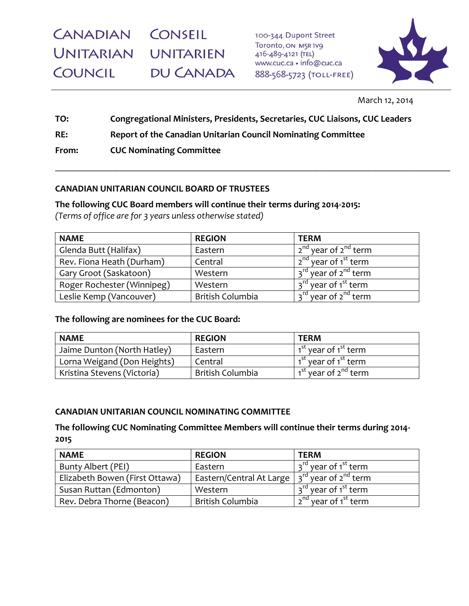**CANADIAN CONSEIL** UNITARIAN UNITARIEN **COUNCIL** DU CANADA

100-344 Dupont Street Toronto, ON M5R1V9 416-489-4121 (TEL) www.cuc.ca · info@cuc.ca 888-568-5723 (TOLL-FREE)



March 12, 2014

**TO: Congregational Ministers, Presidents, Secretaries, CUC Liaisons, CUC Leaders RE: Report of the Canadian Unitarian Council Nominating Committee From: CUC Nominating Committee**

\_\_\_\_\_\_\_\_\_\_\_\_\_\_\_\_\_\_\_\_\_\_\_\_\_\_\_\_\_\_\_\_\_\_\_\_\_\_\_\_\_\_\_\_\_\_\_\_\_\_\_\_\_\_\_\_\_\_\_\_\_\_\_\_\_\_\_\_\_\_\_\_\_\_\_\_\_\_\_\_\_\_\_\_\_\_

# **CANADIAN UNITARIAN COUNCIL BOARD OF TRUSTEES**

**The following CUC Board members will continue their terms during 2014-2015:**

*(Terms of office are for 3 years unless otherwise stated)*

| <b>NAME</b>                | <b>REGION</b>           | <b>TERM</b>                                  |
|----------------------------|-------------------------|----------------------------------------------|
| Glenda Butt (Halifax)      | Eastern                 | 2 <sup>nd</sup> year of 2 <sup>nd</sup> term |
| Rev. Fiona Heath (Durham)  | Central                 | 2 <sup>nd</sup> year of 1 <sup>st</sup> term |
| Gary Groot (Saskatoon)     | Western                 | 3 <sup>rd</sup> year of 2 <sup>nd</sup> term |
| Roger Rochester (Winnipeg) | Western                 | 3 <sup>rd</sup> year of 1 <sup>st</sup> term |
| Leslie Kemp (Vancouver)    | <b>British Columbia</b> | 3 <sup>rd</sup> year of 2 <sup>nd</sup> term |

# **The following are nominees for the CUC Board:**

| <b>NAME</b>                 | <b>REGION</b>    | <b>TERM</b>                                  |
|-----------------------------|------------------|----------------------------------------------|
| Jaime Dunton (North Hatley) | Eastern          | 1 <sup>st</sup> year of 1 <sup>st</sup> term |
| Lorna Weigand (Don Heights) | Central          | 1 <sup>st</sup> year of 1 <sup>st</sup> term |
| Kristina Stevens (Victoria) | British Columbia | 1 <sup>st</sup> year of 2 <sup>nd</sup> term |

# **CANADIAN UNITARIAN COUNCIL NOMINATING COMMITTEE**

**The following CUC Nominating Committee Members will continue their terms during 2014- 2015**

| <b>NAME</b>                    | <b>REGION</b>                                                   | <b>TERM</b>                                  |
|--------------------------------|-----------------------------------------------------------------|----------------------------------------------|
| Bunty Albert (PEI)             | Eastern                                                         | 3 <sup>rd</sup> year of 1 <sup>st</sup> term |
| Elizabeth Bowen (First Ottawa) | Eastern/Central At Large $ 3^{rd}$ year of 2 <sup>nd</sup> term |                                              |
| Susan Ruttan (Edmonton)        | Western                                                         | 3 <sup>rd</sup> year of 1 <sup>st</sup> term |
| Rev. Debra Thorne (Beacon)     | British Columbia                                                | 2 <sup>nd</sup> year of 1 <sup>st</sup> term |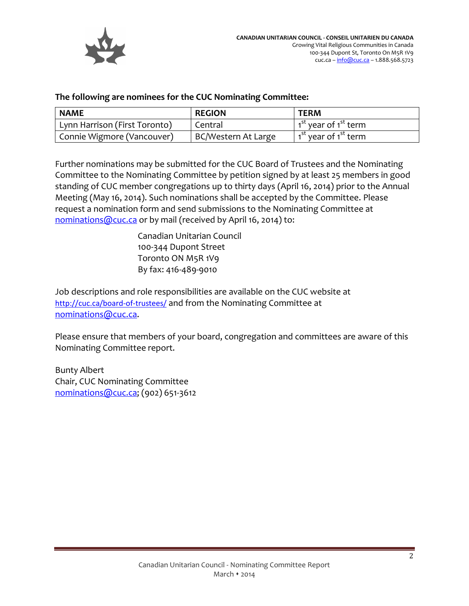

## **The following are nominees for the CUC Nominating Committee:**

| <b>NAME</b>                             | <b>REGION</b>       | <b>TERM</b>                                  |
|-----------------------------------------|---------------------|----------------------------------------------|
| Lynn Harrison (First Toronto)           | Central             | 1 <sup>st</sup> year of 1 <sup>st</sup> term |
| <sup>I</sup> Connie Wigmore (Vancouver) | BC/Western At Large | 1 <sup>st</sup> year of 1 <sup>st</sup> term |

Further nominations may be submitted for the CUC Board of Trustees and the Nominating Committee to the Nominating Committee by petition signed by at least 25 members in good standing of CUC member congregations up to thirty days (April 16, 2014) prior to the Annual Meeting (May 16, 2014). Such nominations shall be accepted by the Committee. Please request a nomination form and send submissions to the Nominating Committee at [nominations@cuc.ca](mailto:nominations@cuc.ca) or by mail (received by April 16, 2014) to:

> Canadian Unitarian Council 100-344 Dupont Street Toronto ON M5R 1V9 By fax: 416-489-9010

Job descriptions and role responsibilities are available on the CUC website at <http://cuc.ca/board-of-trustees/> and from the Nominating Committee at [nominations@cuc.ca.](mailto:nominations@cuc.ca)

Please ensure that members of your board, congregation and committees are aware of this Nominating Committee report.

Bunty Albert Chair, CUC Nominating Committee [nominations@cuc.ca;](mailto:nominations@cuc.ca) (902) 651-3612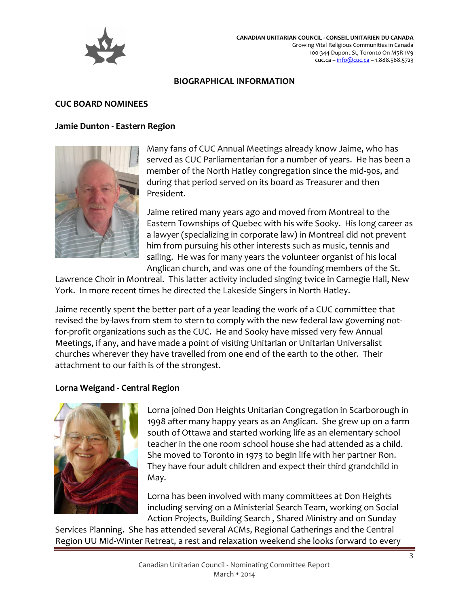

#### **BIOGRAPHICAL INFORMATION**

## **CUC BOARD NOMINEES**

## **Jamie Dunton - Eastern Region**



Many fans of CUC Annual Meetings already know Jaime, who has served as CUC Parliamentarian for a number of years. He has been a member of the North Hatley congregation since the mid-90s, and during that period served on its board as Treasurer and then President.

Jaime retired many years ago and moved from Montreal to the Eastern Townships of Quebec with his wife Sooky. His long career as a lawyer (specializing in corporate law) in Montreal did not prevent him from pursuing his other interests such as music, tennis and sailing. He was for many years the volunteer organist of his local Anglican church, and was one of the founding members of the St.

Lawrence Choir in Montreal. This latter activity included singing twice in Carnegie Hall, New York. In more recent times he directed the Lakeside Singers in North Hatley.

Jaime recently spent the better part of a year leading the work of a CUC committee that revised the by-laws from stem to stern to comply with the new federal law governing notfor-profit organizations such as the CUC. He and Sooky have missed very few Annual Meetings, if any, and have made a point of visiting Unitarian or Unitarian Universalist churches wherever they have travelled from one end of the earth to the other. Their attachment to our faith is of the strongest.

#### **Lorna Weigand - Central Region**



Lorna joined Don Heights Unitarian Congregation in Scarborough in 1998 after many happy years as an Anglican. She grew up on a farm south of Ottawa and started working life as an elementary school teacher in the one room school house she had attended as a child. She moved to Toronto in 1973 to begin life with her partner Ron. They have four adult children and expect their third grandchild in May.

Lorna has been involved with many committees at Don Heights including serving on a Ministerial Search Team, working on Social Action Projects, Building Search , Shared Ministry and on Sunday

Services Planning. She has attended several ACMs, Regional Gatherings and the Central Region UU Mid-Winter Retreat, a rest and relaxation weekend she looks forward to every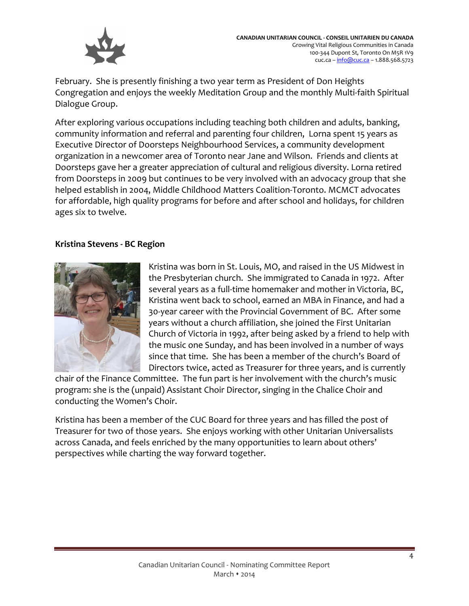

February. She is presently finishing a two year term as President of Don Heights Congregation and enjoys the weekly Meditation Group and the monthly Multi-faith Spiritual Dialogue Group.

After exploring various occupations including teaching both children and adults, banking, community information and referral and parenting four children, Lorna spent 15 years as Executive Director of Doorsteps Neighbourhood Services, a community development organization in a newcomer area of Toronto near Jane and Wilson. Friends and clients at Doorsteps gave her a greater appreciation of cultural and religious diversity. Lorna retired from Doorsteps in 2009 but continues to be very involved with an advocacy group that she helped establish in 2004, Middle Childhood Matters Coalition-Toronto. MCMCT advocates for affordable, high quality programs for before and after school and holidays, for children ages six to twelve.

## **Kristina Stevens - BC Region**



Kristina was born in St. Louis, MO, and raised in the US Midwest in the Presbyterian church. She immigrated to Canada in 1972. After several years as a full-time homemaker and mother in Victoria, BC, Kristina went back to school, earned an MBA in Finance, and had a 30-year career with the Provincial Government of BC. After some years without a church affiliation, she joined the First Unitarian Church of Victoria in 1992, after being asked by a friend to help with the music one Sunday, and has been involved in a number of ways since that time. She has been a member of the church's Board of Directors twice, acted as Treasurer for three years, and is currently

chair of the Finance Committee. The fun part is her involvement with the church's music program: she is the (unpaid) Assistant Choir Director, singing in the Chalice Choir and conducting the Women's Choir.

Kristina has been a member of the CUC Board for three years and has filled the post of Treasurer for two of those years. She enjoys working with other Unitarian Universalists across Canada, and feels enriched by the many opportunities to learn about others' perspectives while charting the way forward together.